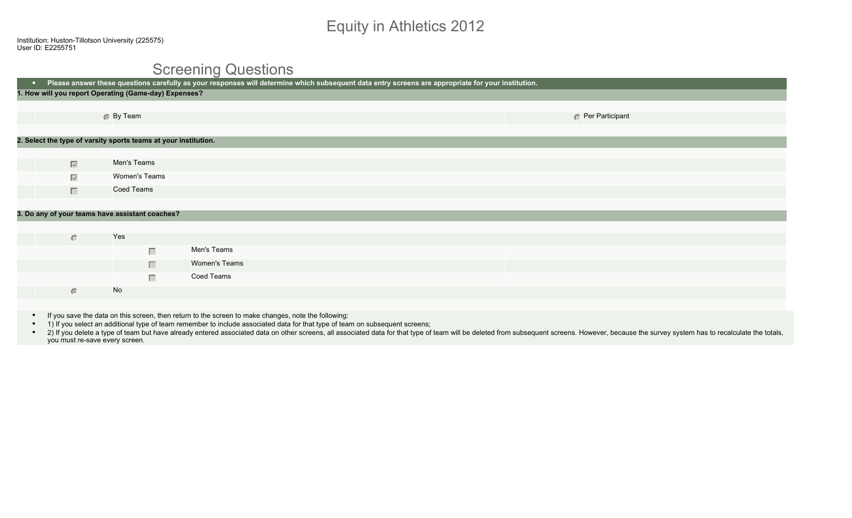# Equity in Athletics 2012

## Screening Questions

| Please answer these questions carefully as your responses will determine which subsequent data entry screens are appropriate for your institution.<br>$\bullet$ . |               |               |                 |  |  |  |
|-------------------------------------------------------------------------------------------------------------------------------------------------------------------|---------------|---------------|-----------------|--|--|--|
| 1. How will you report Operating (Game-day) Expenses?                                                                                                             |               |               |                 |  |  |  |
|                                                                                                                                                                   |               |               |                 |  |  |  |
|                                                                                                                                                                   | 6 By Team     |               | Per Participant |  |  |  |
|                                                                                                                                                                   |               |               |                 |  |  |  |
| 2. Select the type of varsity sports teams at your institution.                                                                                                   |               |               |                 |  |  |  |
|                                                                                                                                                                   |               |               |                 |  |  |  |
| $\overline{\vee}$                                                                                                                                                 | Men's Teams   |               |                 |  |  |  |
| $\overline{\vee}$                                                                                                                                                 | Women's Teams |               |                 |  |  |  |
| $\Box$                                                                                                                                                            | Coed Teams    |               |                 |  |  |  |
|                                                                                                                                                                   |               |               |                 |  |  |  |
| 3. Do any of your teams have assistant coaches?                                                                                                                   |               |               |                 |  |  |  |
|                                                                                                                                                                   |               |               |                 |  |  |  |
| $\circ$                                                                                                                                                           | Yes           |               |                 |  |  |  |
|                                                                                                                                                                   | $\Box$        | Men's Teams   |                 |  |  |  |
|                                                                                                                                                                   | $\Box$        | Women's Teams |                 |  |  |  |
|                                                                                                                                                                   | $\Box$        | Coed Teams    |                 |  |  |  |
| $\bullet$                                                                                                                                                         | No            |               |                 |  |  |  |
|                                                                                                                                                                   |               |               |                 |  |  |  |

- If you save the data on this screen, then return to the screen to make changes, note the following:
- 1) If you select an additional type of team remember to include associated data for that type of team on subsequent screens;
- . 2) If you delete a type of team but have already entered associated data on other screens, all associated data for that type of team will be deleted from subsequent screens. However, because the survey system has to reca you must re-save every screen.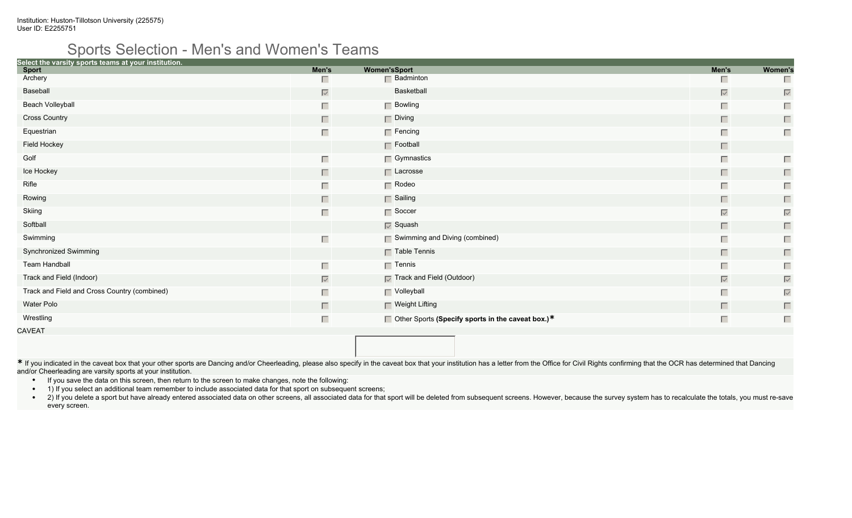### Sports Selection - Men's and Women's Teams

| Select the varsity sports teams at your institution.<br><b>Sport</b> | Men's             | <b>Women'sSport</b>                                      | Men's             | Women's           |
|----------------------------------------------------------------------|-------------------|----------------------------------------------------------|-------------------|-------------------|
| Archery                                                              | П                 | $\Box$ Badminton                                         | ш                 |                   |
| Baseball                                                             | $\overline{\vee}$ | Basketball                                               | $\overline{\vee}$ | $\overline{\vee}$ |
| <b>Beach Volleyball</b>                                              | Г                 | $\Box$ Bowling                                           | $\Box$            | Г                 |
| <b>Cross Country</b>                                                 | П                 | $\Box$ Diving                                            | $\Box$            | $\Box$            |
| Equestrian                                                           | Г                 | $\Box$ Fencing                                           | $\Box$            | $\Box$            |
| Field Hockey                                                         |                   | $\Gamma$ Football                                        | П                 |                   |
| Golf                                                                 | Г                 | $\Box$ Gymnastics                                        | $\Box$            | П                 |
| Ice Hockey                                                           | П                 | $\Box$ Lacrosse                                          | $\Box$            | $\Box$            |
| Rifle                                                                | Г                 | $\Box$ Rodeo                                             | $\Box$            | Г                 |
| Rowing                                                               | П                 | $\Box$ Sailing                                           | $\Box$            | $\Box$            |
| Skiing                                                               | Г                 | $\Gamma$ Soccer                                          | $\overline{\vee}$ | $\overline{\vee}$ |
| Softball                                                             |                   | $\nabla$ Squash                                          | $\Box$            | $\Box$            |
| Swimming                                                             | Г                 | $\Box$ Swimming and Diving (combined)                    | $\Box$            | Г                 |
| Synchronized Swimming                                                |                   | $\Gamma$ Table Tennis                                    | $\Box$            | $\Box$            |
| <b>Team Handball</b>                                                 | Г                 | $\Box$ Tennis                                            | $\Box$            | Г                 |
| Track and Field (Indoor)                                             | $\overline{\vee}$ | $\sqrt{ }$ Track and Field (Outdoor)                     | $\overline{\vee}$ | $\overline{\vee}$ |
| Track and Field and Cross Country (combined)                         | Г                 | $\Gamma$ Volleyball                                      | $\Box$            | $\overline{\vee}$ |
| Water Polo                                                           | П                 | $\Box$ Weight Lifting                                    | $\Box$            | $\Box$            |
| Wrestling                                                            | Г                 | $\Box$ Other Sports (Specify sports in the caveat box.)* | $\Box$            | Г                 |
| CAVEAT                                                               |                   |                                                          |                   |                   |

\* If you indicated in the caveat box that your other sports are Dancing and/or Cheerleading, please also specify in the caveat box that your institution has a letter from the Office for Civil Rights confirming that the OCR and/or Cheerleading are varsity sports at your institution.

- If you save the data on this screen, then return to the screen to make changes, note the following:
- 1) If you select an additional team remember to include associated data for that sport on subsequent screens;
- . 2) If you delete a sport but have already entered associated data on other screens, all associated data for that sport will be deleted from subsequent screens. However, because the survey system has to recalculate the to every screen.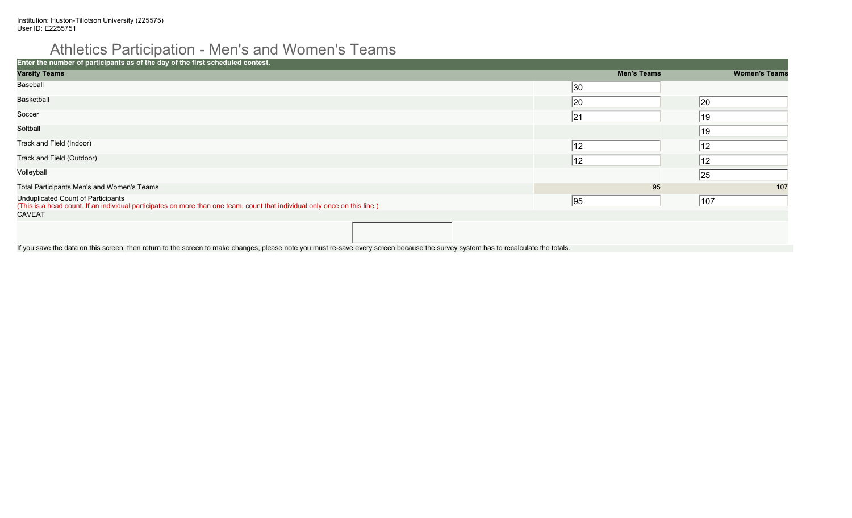# Athletics Participation - Men's and Women's Teams

| Enter the number of participants as of the day of the first scheduled contest.                                                                                   |                    |                      |
|------------------------------------------------------------------------------------------------------------------------------------------------------------------|--------------------|----------------------|
| <b>Varsity Teams</b>                                                                                                                                             | <b>Men's Teams</b> | <b>Women's Teams</b> |
| Baseball                                                                                                                                                         | $ 30\rangle$       |                      |
| Basketball                                                                                                                                                       | 20                 | 20                   |
| Soccer                                                                                                                                                           | 21                 | 19                   |
| Softball                                                                                                                                                         |                    | 19                   |
| Track and Field (Indoor)                                                                                                                                         | 12                 | 12                   |
| Track and Field (Outdoor)                                                                                                                                        | 12                 | 12                   |
| Volleyball                                                                                                                                                       |                    | 25                   |
| Total Participants Men's and Women's Teams                                                                                                                       | 95                 | 107                  |
| Unduplicated Count of Participants<br>(This is a head count. If an individual participates on more than one team, count that individual only once on this line.) | 95                 | 107                  |
| <b>CAVEAT</b>                                                                                                                                                    |                    |                      |
|                                                                                                                                                                  |                    |                      |

If you save the data on this screen, then return to the screen to make changes, please note you must re-save every screen because the survey system has to recalculate the totals.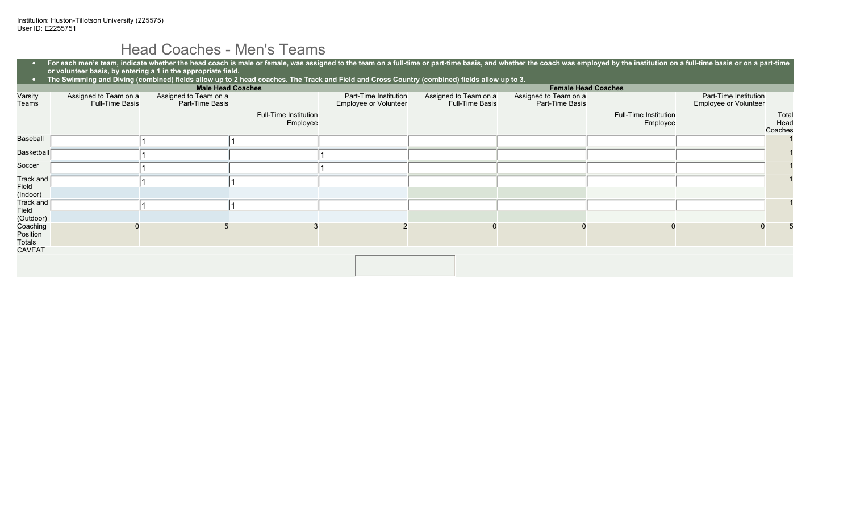# Head Coaches - Men's Teams

| $\bullet$<br>$\bullet$          | For each men's team, indicate whether the head coach is male or female, was assigned to the team on a full-time or part-time basis, and whether the coach was employed by the institution on a full-time basis or on a part-ti<br>or volunteer basis, by entering a 1 in the appropriate field.<br>The Swimming and Diving (combined) fields allow up to 2 head coaches. The Track and Field and Cross Country (combined) fields allow up to 3. |                                          |                                   |                                                |                                                 |                                          |                                   |                                                |                          |
|---------------------------------|-------------------------------------------------------------------------------------------------------------------------------------------------------------------------------------------------------------------------------------------------------------------------------------------------------------------------------------------------------------------------------------------------------------------------------------------------|------------------------------------------|-----------------------------------|------------------------------------------------|-------------------------------------------------|------------------------------------------|-----------------------------------|------------------------------------------------|--------------------------|
|                                 |                                                                                                                                                                                                                                                                                                                                                                                                                                                 | <b>Male Head Coaches</b>                 |                                   |                                                |                                                 | <b>Female Head Coaches</b>               |                                   |                                                |                          |
| Varsity<br>Teams                | Assigned to Team on a<br><b>Full-Time Basis</b>                                                                                                                                                                                                                                                                                                                                                                                                 | Assigned to Team on a<br>Part-Time Basis |                                   | Part-Time Institution<br>Employee or Volunteer | Assigned to Team on a<br><b>Full-Time Basis</b> | Assigned to Team on a<br>Part-Time Basis |                                   | Part-Time Institution<br>Employee or Volunteer |                          |
|                                 |                                                                                                                                                                                                                                                                                                                                                                                                                                                 |                                          | Full-Time Institution<br>Employee |                                                |                                                 |                                          | Full-Time Institution<br>Employee |                                                | Total<br>Head<br>Coaches |
| Baseball                        |                                                                                                                                                                                                                                                                                                                                                                                                                                                 |                                          |                                   |                                                |                                                 |                                          |                                   |                                                |                          |
| Basketball                      |                                                                                                                                                                                                                                                                                                                                                                                                                                                 |                                          |                                   |                                                |                                                 |                                          |                                   |                                                |                          |
| Soccer                          |                                                                                                                                                                                                                                                                                                                                                                                                                                                 |                                          |                                   |                                                |                                                 |                                          |                                   |                                                |                          |
| Track and<br>Field<br>(Indoor)  |                                                                                                                                                                                                                                                                                                                                                                                                                                                 |                                          |                                   |                                                |                                                 |                                          |                                   |                                                |                          |
| Track and<br>Field<br>(Outdoor) |                                                                                                                                                                                                                                                                                                                                                                                                                                                 |                                          |                                   |                                                |                                                 |                                          |                                   |                                                |                          |
| Coaching<br>Position<br>Totals  |                                                                                                                                                                                                                                                                                                                                                                                                                                                 |                                          |                                   |                                                |                                                 |                                          |                                   |                                                |                          |
| <b>CAVEAT</b>                   |                                                                                                                                                                                                                                                                                                                                                                                                                                                 |                                          |                                   |                                                |                                                 |                                          |                                   |                                                |                          |
|                                 |                                                                                                                                                                                                                                                                                                                                                                                                                                                 |                                          |                                   |                                                |                                                 |                                          |                                   |                                                |                          |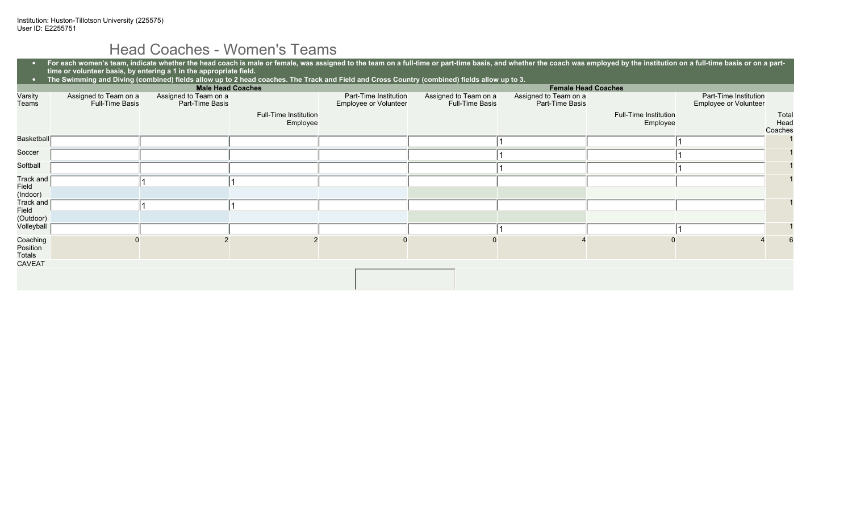# Head Coaches - Women's Teams

| $\bullet$<br>$\bullet$         | For each women's team, indicate whether the head coach is male or female, was assigned to the team on a full-time or part-time basis, and whether the coach was employed by the institution on a full-time basis or on a part-<br>time or volunteer basis, by entering a 1 in the appropriate field.<br>The Swimming and Diving (combined) fields allow up to 2 head coaches. The Track and Field and Cross Country (combined) fields allow up to 3. |                                          |                                   |                                                |                                          |                                          |                                   |                                                |                          |
|--------------------------------|------------------------------------------------------------------------------------------------------------------------------------------------------------------------------------------------------------------------------------------------------------------------------------------------------------------------------------------------------------------------------------------------------------------------------------------------------|------------------------------------------|-----------------------------------|------------------------------------------------|------------------------------------------|------------------------------------------|-----------------------------------|------------------------------------------------|--------------------------|
|                                |                                                                                                                                                                                                                                                                                                                                                                                                                                                      |                                          | <b>Male Head Coaches</b>          |                                                |                                          | <b>Female Head Coaches</b>               |                                   |                                                |                          |
| Varsity<br>Teams               | Assigned to Team on a<br><b>Full-Time Basis</b>                                                                                                                                                                                                                                                                                                                                                                                                      | Assigned to Team on a<br>Part-Time Basis |                                   | Part-Time Institution<br>Employee or Volunteer | Assigned to Team on a<br>Full-Time Basis | Assigned to Team on a<br>Part-Time Basis |                                   | Part-Time Institution<br>Employee or Volunteer |                          |
|                                |                                                                                                                                                                                                                                                                                                                                                                                                                                                      |                                          | Full-Time Institution<br>Employee |                                                |                                          |                                          | Full-Time Institution<br>Employee |                                                | Total<br>Head<br>Coaches |
| <b>Basketball</b>              |                                                                                                                                                                                                                                                                                                                                                                                                                                                      |                                          |                                   |                                                |                                          |                                          |                                   |                                                |                          |
| Soccer                         |                                                                                                                                                                                                                                                                                                                                                                                                                                                      |                                          |                                   |                                                |                                          |                                          |                                   |                                                |                          |
| Softball                       |                                                                                                                                                                                                                                                                                                                                                                                                                                                      |                                          |                                   |                                                |                                          |                                          |                                   |                                                |                          |
| Track and<br>Field<br>(Indoor) |                                                                                                                                                                                                                                                                                                                                                                                                                                                      |                                          |                                   |                                                |                                          |                                          |                                   |                                                |                          |
| Track and<br>Field             |                                                                                                                                                                                                                                                                                                                                                                                                                                                      |                                          |                                   |                                                |                                          |                                          |                                   |                                                |                          |
| (Outdoor)<br>Volleyball        |                                                                                                                                                                                                                                                                                                                                                                                                                                                      |                                          |                                   |                                                |                                          |                                          |                                   |                                                |                          |
|                                |                                                                                                                                                                                                                                                                                                                                                                                                                                                      |                                          |                                   |                                                |                                          |                                          |                                   |                                                |                          |
| Coaching<br>Position<br>Totals |                                                                                                                                                                                                                                                                                                                                                                                                                                                      |                                          |                                   |                                                |                                          |                                          |                                   |                                                |                          |
| <b>CAVEAT</b>                  |                                                                                                                                                                                                                                                                                                                                                                                                                                                      |                                          |                                   |                                                |                                          |                                          |                                   |                                                |                          |
|                                |                                                                                                                                                                                                                                                                                                                                                                                                                                                      |                                          |                                   |                                                |                                          |                                          |                                   |                                                |                          |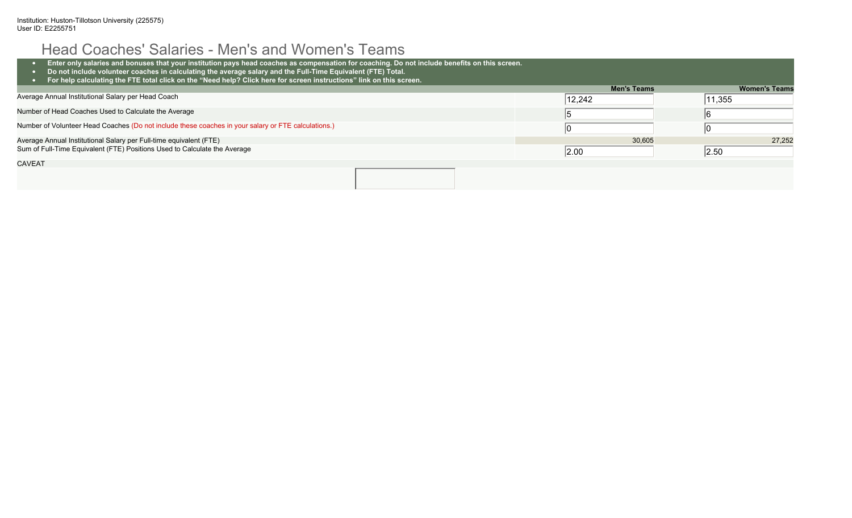# Head Coaches' Salaries - Men's and Women's Teams

| Enter only salaries and bonuses that your institution pays head coaches as compensation for coaching. Do not include benefits on this screen.<br>Do not include volunteer coaches in calculating the average salary and the Full-Time Equivalent (FTE) Total.<br>For help calculating the FTE total click on the "Need help? Click here for screen instructions" link on this screen. |                    |                      |
|---------------------------------------------------------------------------------------------------------------------------------------------------------------------------------------------------------------------------------------------------------------------------------------------------------------------------------------------------------------------------------------|--------------------|----------------------|
|                                                                                                                                                                                                                                                                                                                                                                                       | <b>Men's Teams</b> | <b>Women's Teams</b> |
| Average Annual Institutional Salary per Head Coach                                                                                                                                                                                                                                                                                                                                    | 12,242             | 11,355               |
| Number of Head Coaches Used to Calculate the Average                                                                                                                                                                                                                                                                                                                                  |                    |                      |
| Number of Volunteer Head Coaches (Do not include these coaches in your salary or FTE calculations.)                                                                                                                                                                                                                                                                                   |                    |                      |
| Average Annual Institutional Salary per Full-time equivalent (FTE)                                                                                                                                                                                                                                                                                                                    | 30,605             | 27.252               |
| Sum of Full-Time Equivalent (FTE) Positions Used to Calculate the Average                                                                                                                                                                                                                                                                                                             | 2.00               | 2.50                 |
| <b>CAVEAT</b>                                                                                                                                                                                                                                                                                                                                                                         |                    |                      |
|                                                                                                                                                                                                                                                                                                                                                                                       |                    |                      |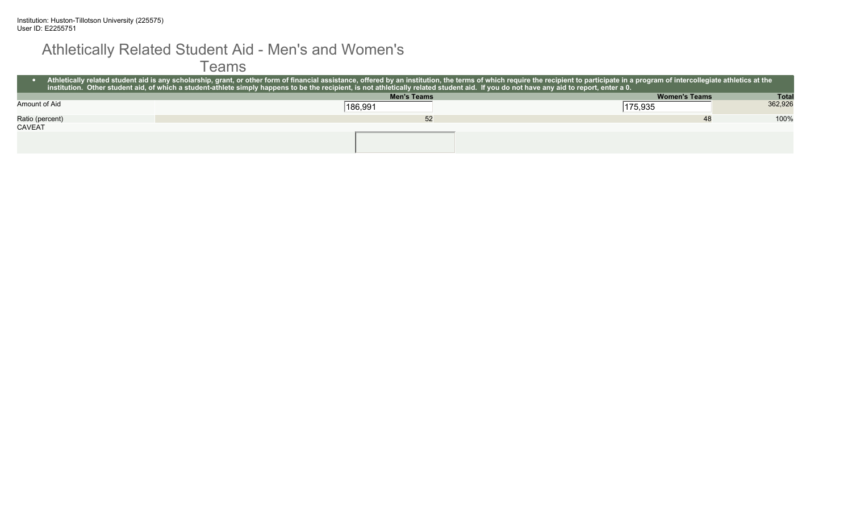### Athletically Related Student Aid - Men's and Women's

#### Teams

|                 | Athletically related student aid is any scholarship, grant, or other form of financial assistance, offered by an institution, the terms of which require the recipient to participate in a program of intercollegiate athletic<br>ar institution. Other student aid, of which a student-athlete simply happens to be the recipient, is not athletically related student aid. If you do not have any aid to report, enter a 0. |                      |              |  |  |  |  |
|-----------------|-------------------------------------------------------------------------------------------------------------------------------------------------------------------------------------------------------------------------------------------------------------------------------------------------------------------------------------------------------------------------------------------------------------------------------|----------------------|--------------|--|--|--|--|
|                 | <b>Men's Teams</b>                                                                                                                                                                                                                                                                                                                                                                                                            | <b>Women's Teams</b> | <b>Total</b> |  |  |  |  |
| Amount of Aid   | 186,991                                                                                                                                                                                                                                                                                                                                                                                                                       | 175,935              | 362,926      |  |  |  |  |
| Ratio (percent) | 52                                                                                                                                                                                                                                                                                                                                                                                                                            | 48                   | 100%         |  |  |  |  |
| <b>CAVEAT</b>   |                                                                                                                                                                                                                                                                                                                                                                                                                               |                      |              |  |  |  |  |
|                 |                                                                                                                                                                                                                                                                                                                                                                                                                               |                      |              |  |  |  |  |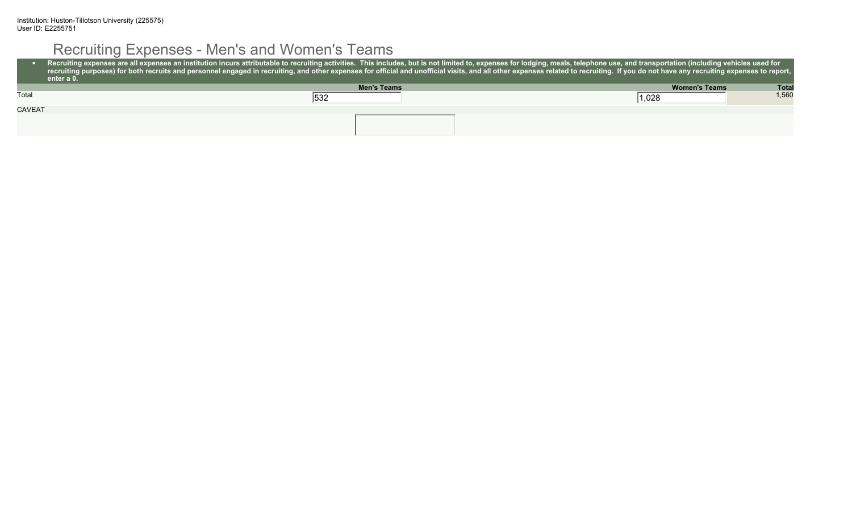# Recruiting Expenses - Men's and Women's Teams

|               | Recruiting expenses are all expenses an institution incurs attributable to recruiting activities. This includes, but is not limited to, expenses for lodging, meals, telephone use, and transportation (including vehicles use<br>recruiting purposes) for both recruits and personnel engaged in recruiting, and other expenses for official and unofficial visits, and all other expenses related to recruiting. If you do not have any recruiting expenses to<br>enter a 0. |                                      |
|---------------|--------------------------------------------------------------------------------------------------------------------------------------------------------------------------------------------------------------------------------------------------------------------------------------------------------------------------------------------------------------------------------------------------------------------------------------------------------------------------------|--------------------------------------|
|               | <b>Men's Teams</b>                                                                                                                                                                                                                                                                                                                                                                                                                                                             | <b>Total</b><br><b>Women's Teams</b> |
| Total         | 532                                                                                                                                                                                                                                                                                                                                                                                                                                                                            | 1,560<br> 1,028                      |
| <b>CAVEAT</b> |                                                                                                                                                                                                                                                                                                                                                                                                                                                                                |                                      |
|               |                                                                                                                                                                                                                                                                                                                                                                                                                                                                                |                                      |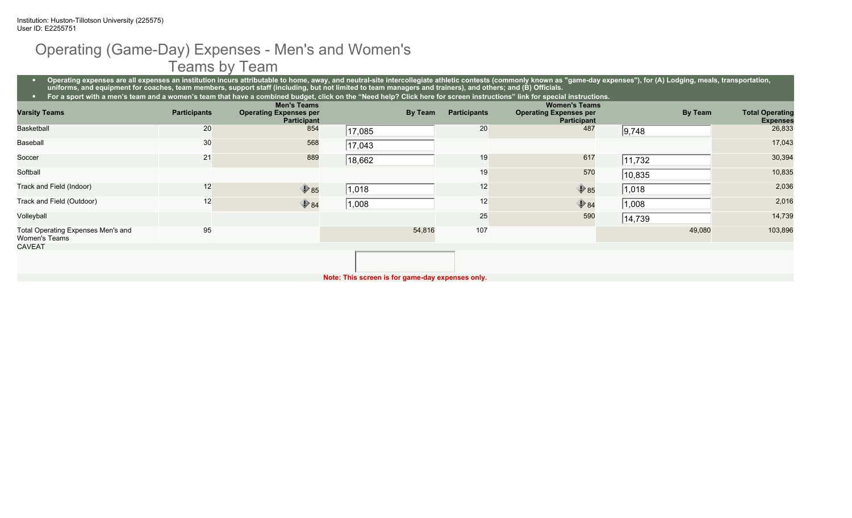## Operating (Game-Day) Expenses - Men's and Women's Teams by Team

• Operating expenses are all expenses an institution incurs attributable to home, away, and neutral-site intercollegiate athletic contests (commonly known as "game-day expenses"), for (A) Lodging, meals, transportation, **uniforms, and equipment for coaches, team members, support staff (including, but not limited to team managers and trainers), and others; and (B) Officials.**

| For a sport with a men's team and a women's team that have a combined budget, click on the "Need help? Click here for screen instructions" link for special instructions. |                     |                                                                           |        |         |                     |                                                                             |         |                                           |  |
|---------------------------------------------------------------------------------------------------------------------------------------------------------------------------|---------------------|---------------------------------------------------------------------------|--------|---------|---------------------|-----------------------------------------------------------------------------|---------|-------------------------------------------|--|
| <b>Varsity Teams</b>                                                                                                                                                      | <b>Participants</b> | <b>Men's Teams</b><br><b>Operating Expenses per</b><br><b>Participant</b> |        | By Team | <b>Participants</b> | <b>Women's Teams</b><br><b>Operating Expenses per</b><br><b>Participant</b> | By Team | <b>Total Operating</b><br><b>Expenses</b> |  |
| <b>Basketball</b>                                                                                                                                                         | 20                  | 854                                                                       | 17,085 |         | 20                  | 487                                                                         | 9,748   | 26,833                                    |  |
| Baseball                                                                                                                                                                  | 30                  | 568                                                                       | 17,043 |         |                     |                                                                             |         | 17,043                                    |  |
| Soccer                                                                                                                                                                    | 21                  | 889                                                                       | 18,662 |         | 19                  | 617                                                                         | 11,732  | 30,394                                    |  |
| Softball                                                                                                                                                                  |                     |                                                                           |        |         | 19                  | 570                                                                         | 10,835  | 10,835                                    |  |
| Track and Field (Indoor)                                                                                                                                                  | 12                  | $\bigcirc$ 85                                                             | 1,018  |         | 12                  | $\bigcirc$ 85                                                               | 1,018   | 2,036                                     |  |
| Track and Field (Outdoor)                                                                                                                                                 | 12                  | $\bigcirc$ 84                                                             | 1,008  |         | 12                  | $\bigcirc$ 84                                                               | 1,008   | 2,016                                     |  |
| Volleyball                                                                                                                                                                |                     |                                                                           |        |         | 25                  | 590                                                                         | 14,739  | 14,739                                    |  |
| Total Operating Expenses Men's and<br>Women's Teams                                                                                                                       | 95                  |                                                                           |        | 54,816  | 107                 |                                                                             | 49,080  | 103,896                                   |  |
| <b>CAVEAT</b>                                                                                                                                                             |                     |                                                                           |        |         |                     |                                                                             |         |                                           |  |
|                                                                                                                                                                           |                     |                                                                           |        |         |                     |                                                                             |         |                                           |  |
| Note: This screen is for game-day expenses only.                                                                                                                          |                     |                                                                           |        |         |                     |                                                                             |         |                                           |  |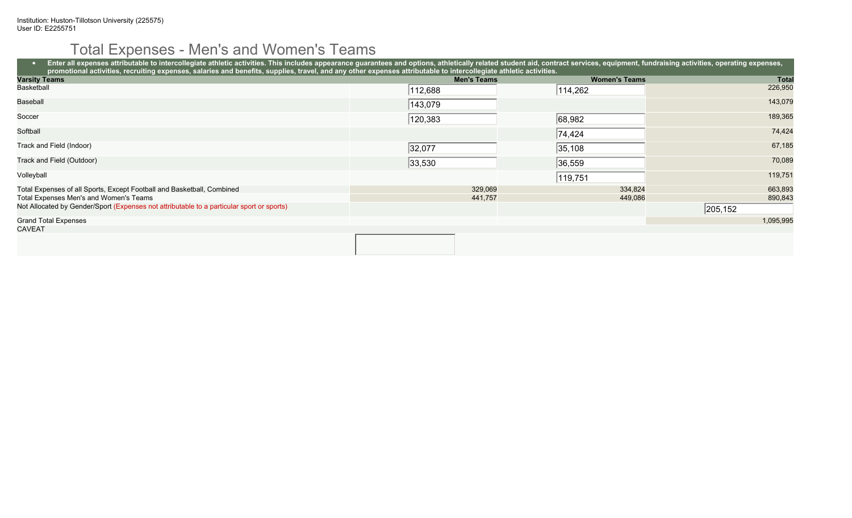# Total Expenses - Men's and Women's Teams

| Enter all expenses attributable to intercollegiate athletic activities. This includes appearance guarantees and options, athletically related student aid, contract services, equipment, fundraising activities, operating exp |                    |                      |           |  |  |  |  |
|--------------------------------------------------------------------------------------------------------------------------------------------------------------------------------------------------------------------------------|--------------------|----------------------|-----------|--|--|--|--|
| promotional activities, recruiting expenses, salaries and benefits, supplies, travel, and any other expenses attributable to intercollegiate athletic activities.                                                              |                    |                      |           |  |  |  |  |
| <b>Varsity Teams</b>                                                                                                                                                                                                           | <b>Men's Teams</b> | <b>Women's Teams</b> | Total     |  |  |  |  |
| Basketball                                                                                                                                                                                                                     | 112,688            | 114,262              | 226,950   |  |  |  |  |
| Baseball                                                                                                                                                                                                                       | 143,079            |                      | 143,079   |  |  |  |  |
| Soccer                                                                                                                                                                                                                         | 120,383            | 68,982               | 189,365   |  |  |  |  |
| Softball                                                                                                                                                                                                                       |                    | 74,424               | 74,424    |  |  |  |  |
| Track and Field (Indoor)                                                                                                                                                                                                       | 32,077             | 35,108               | 67,185    |  |  |  |  |
| Track and Field (Outdoor)                                                                                                                                                                                                      | 33,530             | 36,559               | 70,089    |  |  |  |  |
| Volleyball                                                                                                                                                                                                                     |                    | 119,751              | 119,751   |  |  |  |  |
| Total Expenses of all Sports, Except Football and Basketball, Combined                                                                                                                                                         | 329,069            | 334,824              | 663,893   |  |  |  |  |
| Total Expenses Men's and Women's Teams                                                                                                                                                                                         | 441,757            | 449,086              | 890,843   |  |  |  |  |
| Not Allocated by Gender/Sport (Expenses not attributable to a particular sport or sports)                                                                                                                                      |                    |                      | 205,152   |  |  |  |  |
| <b>Grand Total Expenses</b>                                                                                                                                                                                                    |                    |                      | 1,095,995 |  |  |  |  |
| <b>CAVEAT</b>                                                                                                                                                                                                                  |                    |                      |           |  |  |  |  |
|                                                                                                                                                                                                                                |                    |                      |           |  |  |  |  |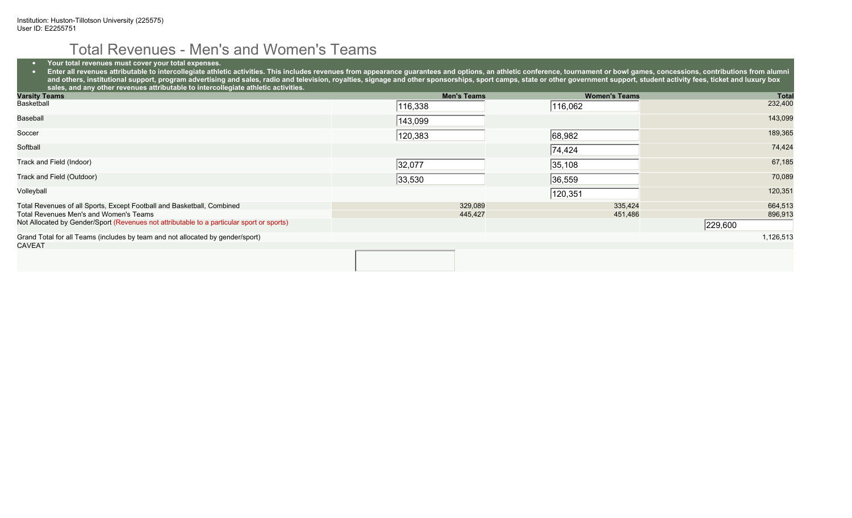## Total Revenues - Men's and Women's Teams

• **Your total revenues must cover your total expenses.**

● Enter all revenues attributable to intercollegiate athletic activities. This includes revenues from appearance guarantees and options, an athletic conference, tournament or bowl games, concessions, contributions from a and others, institutional support, program advertising and sales, radio and television, royalties, signage and other sponsorships, sport camps, state or other government support, student activity fees, ticket and luxury bo **sales, and any other revenues attributable to intercollegiate athletic activities.**

| <b>Varsity Teams</b>                                                                      | <b>Men's Teams</b> | <b>Women's Teams</b> | <b>Total</b> |
|-------------------------------------------------------------------------------------------|--------------------|----------------------|--------------|
| Basketball                                                                                | 116,338            | 116,062              | 232,400      |
| Baseball                                                                                  | 143,099            |                      | 143,099      |
| Soccer                                                                                    | 120,383            | 68,982               | 189,365      |
| Softball                                                                                  |                    | 74,424               | 74,424       |
| Track and Field (Indoor)                                                                  | 32,077             | 35, 108              | 67,185       |
| Track and Field (Outdoor)                                                                 | 33,530             | 36,559               | 70,089       |
| Volleyball                                                                                |                    | 120,351              | 120,351      |
| Total Revenues of all Sports, Except Football and Basketball, Combined                    | 329,089            | 335,424              | 664,513      |
| Total Revenues Men's and Women's Teams                                                    | 445,427            | 451,486              | 896,913      |
| Not Allocated by Gender/Sport (Revenues not attributable to a particular sport or sports) |                    |                      | 229,600      |
| Grand Total for all Teams (includes by team and not allocated by gender/sport)            |                    |                      | 1,126,513    |
| <b>CAVEAT</b>                                                                             |                    |                      |              |
|                                                                                           |                    |                      |              |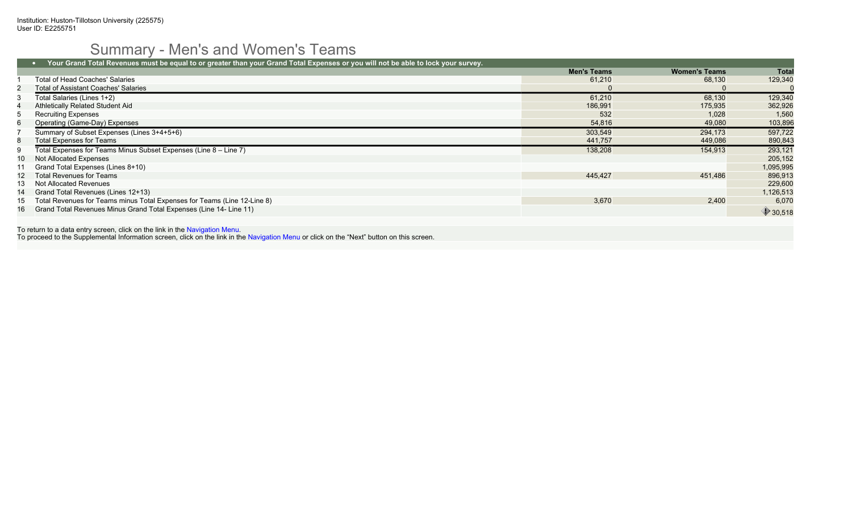# Summary - Men's and Women's Teams

|      | Your Grand Total Revenues must be equal to or greater than your Grand Total Expenses or you will not be able to lock your survey. |                    |                      |           |
|------|-----------------------------------------------------------------------------------------------------------------------------------|--------------------|----------------------|-----------|
|      |                                                                                                                                   | <b>Men's Teams</b> | <b>Women's Teams</b> | Total     |
|      | Total of Head Coaches' Salaries                                                                                                   | 61,210             | 68,130               | 129,340   |
|      | <b>Total of Assistant Coaches' Salaries</b>                                                                                       |                    |                      |           |
|      | Total Salaries (Lines 1+2)                                                                                                        | 61,210             | 68,130               | 129,340   |
|      | Athletically Related Student Aid                                                                                                  | 186.991            | 175.935              | 362,926   |
| 5    | <b>Recruiting Expenses</b>                                                                                                        | 532                | 1.028                | 1,560     |
| 6    | Operating (Game-Day) Expenses                                                                                                     | 54,816             | 49,080               | 103,896   |
|      | Summary of Subset Expenses (Lines 3+4+5+6)                                                                                        | 303,549            | 294,173              | 597,722   |
| 8    | <b>Total Expenses for Teams</b>                                                                                                   | 441,757            | 449,086              | 890,843   |
| 9    | Total Expenses for Teams Minus Subset Expenses (Line 8 – Line 7)                                                                  | 138,208            | 154,913              | 293,121   |
| 10 - | Not Allocated Expenses                                                                                                            |                    |                      | 205,152   |
|      | Grand Total Expenses (Lines 8+10)                                                                                                 |                    |                      | 1,095,995 |
| 12   | Total Revenues for Teams                                                                                                          | 445,427            | 451,486              | 896,913   |
| 13   | Not Allocated Revenues                                                                                                            |                    |                      | 229,600   |
| 14   | Grand Total Revenues (Lines 12+13)                                                                                                |                    |                      | 1,126,513 |
| 15   | Total Revenues for Teams minus Total Expenses for Teams (Line 12-Line 8)                                                          | 3,670              | 2,400                | 6,070     |
|      | 16 Grand Total Revenues Minus Grand Total Expenses (Line 14- Line 11)                                                             |                    |                      | 930,518   |

To return to a data entry screen, click on the link in the Navigation Menu. To proceed to the Supplemental Information screen, click on the link in the Navigation Menu or click on the "Next" button on this screen.